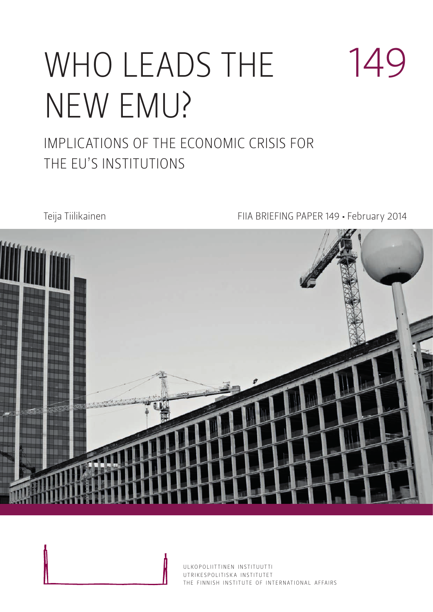# WHO LEADS THE new emu?

### IMPLICATIONS OF THE ECONOMIC CRISIS FOR the EU's institutions

#### Teija Tiilikainen FIIA BRIEFING PAPER 149 • February 2014

149



ULKOPOLIITTINEN INSTITUUTTI UTRIKESPOLITISK A INSTITUTET THE FINNISH INSTITUTE OF INTERNATIONAL AFFAIRS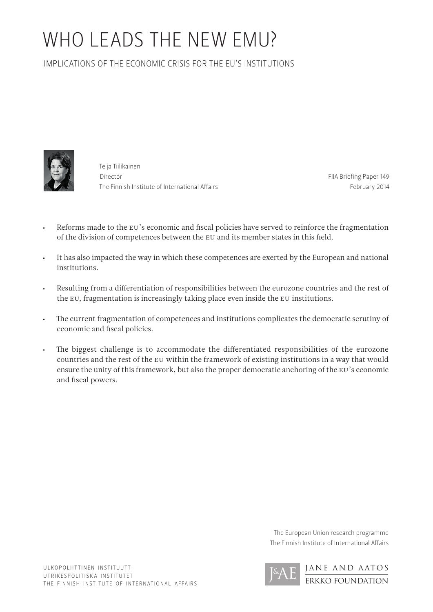## who leads the new emu?

IMPLICATIONS OF THE ECONOMIC CRISIS FOR THE EU'S INSTITUTIONS



Teija Tiilikainen Director The Finnish Institute of International Affairs

FIIA Briefing Paper 149 February 2014

- Reforms made to the EU's economic and fiscal policies have served to reinforce the fragmentation of the division of competences between the EU and its member states in this field.
- • It has also impacted the way in which these competences are exerted by the European and national institutions.
- • Resulting from a differentiation of responsibilities between the eurozone countries and the rest of the EU, fragmentation is increasingly taking place even inside the EU institutions.
- • The current fragmentation of competences and institutions complicates the democratic scrutiny of economic and fiscal policies.
- The biggest challenge is to accommodate the differentiated responsibilities of the eurozone countries and the rest of the EU within the framework of existing institutions in a way that would ensure the unity of this framework, but also the proper democratic anchoring of the EU's economic and fiscal powers.

The European Union research programme The Finnish Institute of International Affairs

> JANE AND AATOS ERKKO FOUNDATION

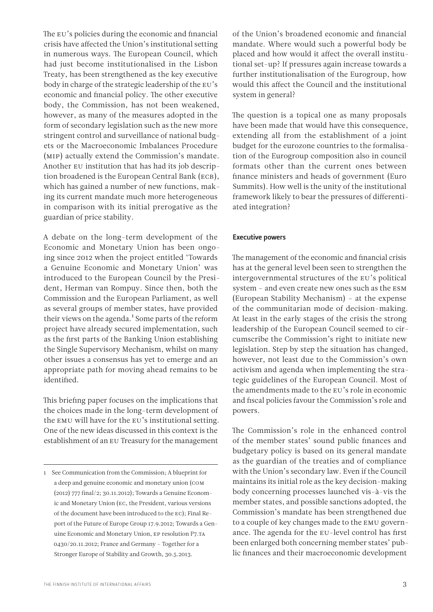The EU's policies during the economic and financial crisis have affected the Union's institutional setting in numerous ways. The European Council, which had just become institutionalised in the Lisbon Treaty, has been strengthened as the key executive body in charge of the strategic leadership of the EU's economic and financial policy. The other executive body, the Commission, has not been weakened, however, as many of the measures adopted in the form of secondary legislation such as the new more stringent control and surveillance of national budgets or the Macroeconomic Imbalances Procedure (MIP) actually extend the Commission's mandate. Another EU institution that has had its job description broadened is the European Central Bank (ECB), which has gained a number of new functions, making its current mandate much more heterogeneous in comparison with its initial prerogative as the guardian of price stability.

A debate on the long-term development of the Economic and Monetary Union has been ongoing since 2012 when the project entitled 'Towards a Genuine Economic and Monetary Union' was introduced to the European Council by the President, Herman van Rompuy. Since then, both the Commission and the European Parliament, as well as several groups of member states, have provided their views on the agenda.<sup>1</sup> Some parts of the reform project have already secured implementation, such as the first parts of the Banking Union establishing the Single Supervisory Mechanism, whilst on many other issues a consensus has yet to emerge and an appropriate path for moving ahead remains to be identified.

This briefing paper focuses on the implications that the choices made in the long-term development of the EMU will have for the EU's institutional setting. One of the new ideas discussed in this context is the establishment of an EU Treasury for the management of the Union's broadened economic and financial mandate. Where would such a powerful body be placed and how would it affect the overall institutional set-up? If pressures again increase towards a further institutionalisation of the Eurogroup, how would this affect the Council and the institutional system in general?

The question is a topical one as many proposals have been made that would have this consequence, extending all from the establishment of a joint budget for the eurozone countries to the formalisation of the Eurogroup composition also in council formats other than the current ones between finance ministers and heads of government (Euro Summits). How well is the unity of the institutional framework likely to bear the pressures of differentiated integration?

#### Executive powers

The management of the economic and financial crisis has at the general level been seen to strengthen the intergovernmental structures of the EU's political system – and even create new ones such as the ESM (European Stability Mechanism) – at the expense of the communitarian mode of decision-making. At least in the early stages of the crisis the strong leadership of the European Council seemed to circumscribe the Commission's right to initiate new legislation. Step by step the situation has changed, however, not least due to the Commission's own activism and agenda when implementing the strategic guidelines of the European Council. Most of the amendments made to the EU's role in economic and fiscal policies favour the Commission's role and powers.

The Commission's role in the enhanced control of the member states' sound public finances and budgetary policy is based on its general mandate as the guardian of the treaties and of compliance with the Union's secondary law. Even if the Council maintains its initial role as the key decision-making body concerning processes launched vis-à-vis the member states, and possible sanctions adopted, the Commission's mandate has been strengthened due to a couple of key changes made to the EMU governance. The agenda for the EU-level control has first been enlarged both concerning member states' public finances and their macroeconomic development

<sup>1</sup> See Communication from the Commission; A blueprint for a deep and genuine economic and monetary union (COM (2012) 777 final/2; 30.11.2012); Towards a Genuine Economic and Monetary Union (EC, the President, various versions of the document have been introduced to the EC); Final Report of the Future of Europe Group 17.9.2012; Towards a Genuine Economic and Monetary Union, EP resolution P7.TA 0430/20.11.2012; France and Germany – Together for a Stronger Europe of Stability and Growth, 30.5.2013.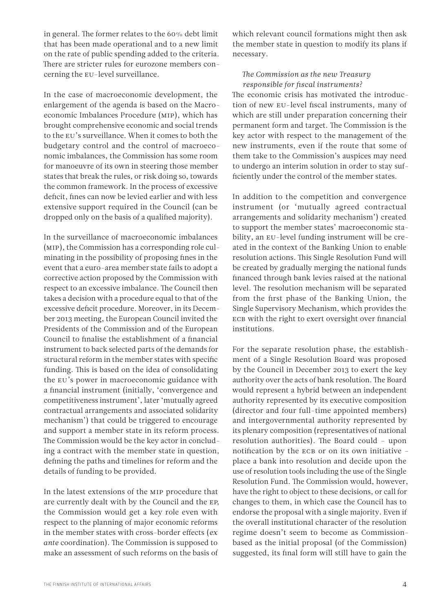in general. The former relates to the 60% debt limit that has been made operational and to a new limit on the rate of public spending added to the criteria. There are stricter rules for eurozone members concerning the EU-level surveillance.

In the case of macroeconomic development, the enlargement of the agenda is based on the Macroeconomic Imbalances Procedure (MIP), which has brought comprehensive economic and social trends to the EU's surveillance. When it comes to both the budgetary control and the control of macroeconomic imbalances, the Commission has some room for manoeuvre of its own in steering those member states that break the rules, or risk doing so, towards the common framework. In the process of excessive deficit, fines can now be levied earlier and with less extensive support required in the Council (can be dropped only on the basis of a qualified majority).

In the surveillance of macroeconomic imbalances (MIP), the Commission has a corresponding role culminating in the possibility of proposing fines in the event that a euro-area member state fails to adopt a corrective action proposed by the Commission with respect to an excessive imbalance. The Council then takes a decision with a procedure equal to that of the excessive deficit procedure. Moreover, in its December 2013 meeting, the European Council invited the Presidents of the Commission and of the European Council to finalise the establishment of a financial instrument to back selected parts of the demands for structural reform in the member states with specific funding. This is based on the idea of consolidating the EU's power in macroeconomic guidance with a financial instrument (initially, 'convergence and competitiveness instrument', later 'mutually agreed contractual arrangements and associated solidarity mechanism') that could be triggered to encourage and support a member state in its reform process. The Commission would be the key actor in concluding a contract with the member state in question, defining the paths and timelines for reform and the details of funding to be provided.

In the latest extensions of the MIP procedure that are currently dealt with by the Council and the EP, the Commission would get a key role even with respect to the planning of major economic reforms in the member states with cross-border effects (*ex ante* coordination). The Commission is supposed to make an assessment of such reforms on the basis of

which relevant council formations might then ask the member state in question to modify its plans if necessary.

#### *The Commission as the new Treasury responsible for fiscal instruments?*

The economic crisis has motivated the introduction of new EU-level fiscal instruments, many of which are still under preparation concerning their permanent form and target. The Commission is the key actor with respect to the management of the new instruments, even if the route that some of them take to the Commission's auspices may need to undergo an interim solution in order to stay sufficiently under the control of the member states.

In addition to the competition and convergence instrument (or 'mutually agreed contractual arrangements and solidarity mechanism') created to support the member states' macroeconomic stability, an EU-level funding instrument will be created in the context of the Banking Union to enable resolution actions. This Single Resolution Fund will be created by gradually merging the national funds financed through bank levies raised at the national level. The resolution mechanism will be separated from the first phase of the Banking Union, the Single Supervisory Mechanism, which provides the ECB with the right to exert oversight over financial institutions.

For the separate resolution phase, the establishment of a Single Resolution Board was proposed by the Council in December 2013 to exert the key authority over the acts of bank resolution. The Board would represent a hybrid between an independent authority represented by its executive composition (director and four full-time appointed members) and intergovernmental authority represented by its plenary composition (representatives of national resolution authorities). The Board could – upon notification by the ECB or on its own initiative – place a bank into resolution and decide upon the use of resolution tools including the use of the Single Resolution Fund. The Commission would, however, have the right to object to these decisions, or call for changes to them, in which case the Council has to endorse the proposal with a single majority. Even if the overall institutional character of the resolution regime doesn't seem to become as Commissionbased as the initial proposal (of the Commission) suggested, its final form will still have to gain the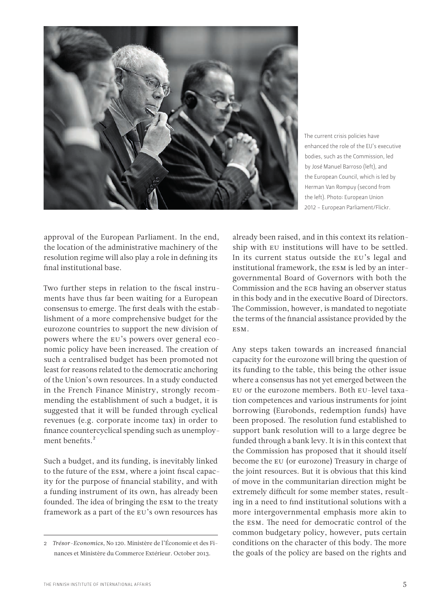

The current crisis policies have enhanced the role of the EU's executive bodies, such as the Commission, led by José Manuel Barroso (left), and the European Council, which is led by Herman Van Rompuy (second from the left). Photo: European Union 2012 - European Parliament/Flickr.

approval of the European Parliament. In the end, the location of the administrative machinery of the resolution regime will also play a role in defining its final institutional base.

Two further steps in relation to the fiscal instruments have thus far been waiting for a European consensus to emerge. The first deals with the establishment of a more comprehensive budget for the eurozone countries to support the new division of powers where the EU's powers over general economic policy have been increased. The creation of such a centralised budget has been promoted not least for reasons related to the democratic anchoring of the Union's own resources. In a study conducted in the French Finance Ministry, strongly recommending the establishment of such a budget, it is suggested that it will be funded through cyclical revenues (e.g. corporate income tax) in order to finance countercyclical spending such as unemployment benefits.<sup>2</sup>

Such a budget, and its funding, is inevitably linked to the future of the ESM, where a joint fiscal capacity for the purpose of financial stability, and with a funding instrument of its own, has already been founded. The idea of bringing the ESM to the treaty framework as a part of the EU's own resources has

already been raised, and in this context its relationship with EU institutions will have to be settled. In its current status outside the EU's legal and institutional framework, the ESM is led by an intergovernmental Board of Governors with both the Commission and the ECB having an observer status in this body and in the executive Board of Directors. The Commission, however, is mandated to negotiate the terms of the financial assistance provided by the ESM.

Any steps taken towards an increased financial capacity for the eurozone will bring the question of its funding to the table, this being the other issue where a consensus has not yet emerged between the EU or the eurozone members. Both EU-level taxation competences and various instruments for joint borrowing (Eurobonds, redemption funds) have been proposed. The resolution fund established to support bank resolution will to a large degree be funded through a bank levy. It is in this context that the Commission has proposed that it should itself become the EU (or eurozone) Treasury in charge of the joint resources. But it is obvious that this kind of move in the communitarian direction might be extremely difficult for some member states, resulting in a need to find institutional solutions with a more intergovernmental emphasis more akin to the ESM. The need for democratic control of the common budgetary policy, however, puts certain conditions on the character of this body. The more the goals of the policy are based on the rights and

<sup>2</sup> *Trésor-Economics*, No 120. Ministère de l'Économie et des Finances et Ministère du Commerce Extérieur. October 2013.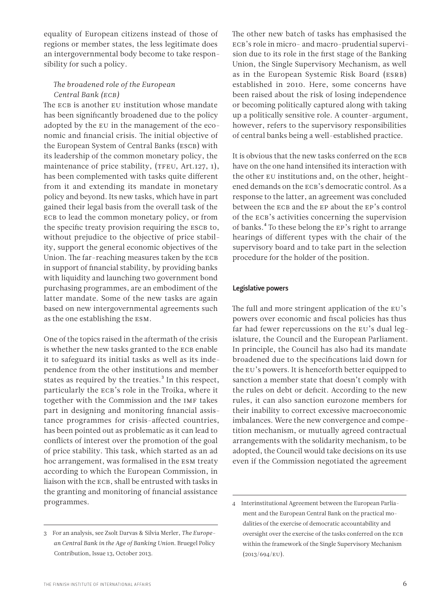equality of European citizens instead of those of regions or member states, the less legitimate does an intergovernmental body become to take responsibility for such a policy.

#### *The broadened role of the European Central Bank (ECB)*

The ECB is another EU institution whose mandate has been significantly broadened due to the policy adopted by the EU in the management of the economic and financial crisis. The initial objective of the European System of Central Banks (ESCB) with its leadership of the common monetary policy, the maintenance of price stability, (TFEU, Art.127, 1), has been complemented with tasks quite different from it and extending its mandate in monetary policy and beyond. Its new tasks, which have in part gained their legal basis from the overall task of the ECB to lead the common monetary policy, or from the specific treaty provision requiring the ESCB to, without prejudice to the objective of price stability, support the general economic objectives of the Union. The far-reaching measures taken by the ECB in support of financial stability, by providing banks with liquidity and launching two government bond purchasing programmes, are an embodiment of the latter mandate. Some of the new tasks are again based on new intergovernmental agreements such as the one establishing the ESM.

One of the topics raised in the aftermath of the crisis is whether the new tasks granted to the ECB enable it to safeguard its initial tasks as well as its independence from the other institutions and member states as required by the treaties.<sup>3</sup> In this respect, particularly the ECB's role in the Troika, where it together with the Commission and the IMF takes part in designing and monitoring financial assistance programmes for crisis-affected countries, has been pointed out as problematic as it can lead to conflicts of interest over the promotion of the goal of price stability. This task, which started as an ad hoc arrangement, was formalised in the ESM treaty according to which the European Commission, in liaison with the ECB, shall be entrusted with tasks in the granting and monitoring of financial assistance programmes.

The other new batch of tasks has emphasised the ECB's role in micro- and macro-prudential supervision due to its role in the first stage of the Banking Union, the Single Supervisory Mechanism, as well as in the European Systemic Risk Board (ESRB) established in 2010. Here, some concerns have been raised about the risk of losing independence or becoming politically captured along with taking up a politically sensitive role. A counter-argument, however, refers to the supervisory responsibilities of central banks being a well-established practice.

It is obvious that the new tasks conferred on the ECB have on the one hand intensified its interaction with the other EU institutions and, on the other, heightened demands on the ECB's democratic control. As a response to the latter, an agreement was concluded between the ECB and the EP about the EP's control of the ECB's activities concerning the supervision of banks.4 To these belong the EP's right to arrange hearings of different types with the chair of the supervisory board and to take part in the selection procedure for the holder of the position.

#### Legislative powers

The full and more stringent application of the EU's powers over economic and fiscal policies has thus far had fewer repercussions on the EU's dual legislature, the Council and the European Parliament. In principle, the Council has also had its mandate broadened due to the specifications laid down for the EU's powers. It is henceforth better equipped to sanction a member state that doesn't comply with the rules on debt or deficit. According to the new rules, it can also sanction eurozone members for their inability to correct excessive macroeconomic imbalances. Were the new convergence and competition mechanism, or mutually agreed contractual arrangements with the solidarity mechanism, to be adopted, the Council would take decisions on its use even if the Commission negotiated the agreement

<sup>3</sup> For an analysis, see Zsolt Darvas & Silvia Merler, *The European Central Bank in the Age of Banking Union*. Bruegel Policy Contribution, Issue 13, October 2013.

<sup>4</sup> Interinstitutional Agreement between the European Parliament and the European Central Bank on the practical modalities of the exercise of democratic accountability and oversight over the exercise of the tasks conferred on the ECB within the framework of the Single Supervisory Mechanism (2013/694/EU).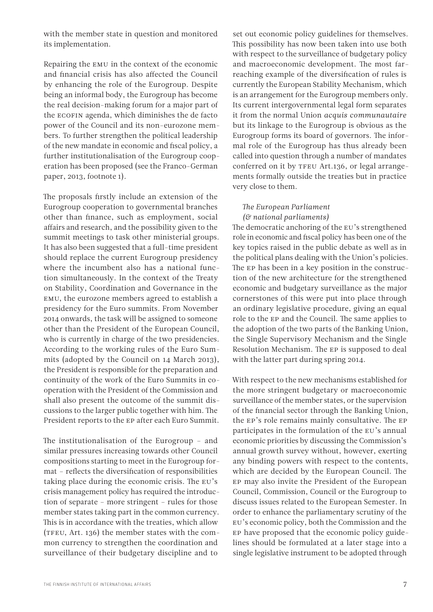with the member state in question and monitored its implementation.

Repairing the EMU in the context of the economic and financial crisis has also affected the Council by enhancing the role of the Eurogroup. Despite being an informal body, the Eurogroup has become the real decision-making forum for a major part of the ECOFIN agenda, which diminishes the de facto power of the Council and its non-eurozone members. To further strengthen the political leadership of the new mandate in economic and fiscal policy, a further institutionalisation of the Eurogroup cooperation has been proposed (see the Franco-German paper, 2013, footnote 1).

The proposals firstly include an extension of the Eurogroup cooperation to governmental branches other than finance, such as employment, social affairs and research, and the possibility given to the summit meetings to task other ministerial groups. It has also been suggested that a full-time president should replace the current Eurogroup presidency where the incumbent also has a national function simultaneously. In the context of the Treaty on Stability, Coordination and Governance in the EMU, the eurozone members agreed to establish a presidency for the Euro summits. From November 2014 onwards, the task will be assigned to someone other than the President of the European Council, who is currently in charge of the two presidencies. According to the working rules of the Euro Summits (adopted by the Council on 14 March 2013), the President is responsible for the preparation and continuity of the work of the Euro Summits in cooperation with the President of the Commission and shall also present the outcome of the summit discussions to the larger public together with him. The President reports to the EP after each Euro Summit.

The institutionalisation of the Eurogroup – and similar pressures increasing towards other Council compositions starting to meet in the Eurogroup format – reflects the diversification of responsibilities taking place during the economic crisis. The EU's crisis management policy has required the introduction of separate – more stringent – rules for those member states taking part in the common currency. This is in accordance with the treaties, which allow (TFEU, Art. 136) the member states with the common currency to strengthen the coordination and surveillance of their budgetary discipline and to

set out economic policy guidelines for themselves. This possibility has now been taken into use both with respect to the surveillance of budgetary policy and macroeconomic development. The most farreaching example of the diversification of rules is currently the European Stability Mechanism, which is an arrangement for the Eurogroup members only. Its current intergovernmental legal form separates it from the normal Union *acquis communautaire* but its linkage to the Eurogroup is obvious as the Eurogroup forms its board of governors. The informal role of the Eurogroup has thus already been called into question through a number of mandates conferred on it by TFEU Art.136, or legal arrangements formally outside the treaties but in practice very close to them.

#### *The European Parliament (& national parliaments)*

The democratic anchoring of the EU's strengthened role in economic and fiscal policy has been one of the key topics raised in the public debate as well as in the political plans dealing with the Union's policies. The EP has been in a key position in the construction of the new architecture for the strengthened economic and budgetary surveillance as the major cornerstones of this were put into place through an ordinary legislative procedure, giving an equal role to the EP and the Council. The same applies to the adoption of the two parts of the Banking Union, the Single Supervisory Mechanism and the Single Resolution Mechanism. The EP is supposed to deal with the latter part during spring 2014.

With respect to the new mechanisms established for the more stringent budgetary or macroeconomic surveillance of the member states, or the supervision of the financial sector through the Banking Union, the EP's role remains mainly consultative. The EP participates in the formulation of the EU's annual economic priorities by discussing the Commission's annual growth survey without, however, exerting any binding powers with respect to the contents, which are decided by the European Council. The EP may also invite the President of the European Council, Commission, Council or the Eurogroup to discuss issues related to the European Semester. In order to enhance the parliamentary scrutiny of the EU's economic policy, both the Commission and the EP have proposed that the economic policy guidelines should be formulated at a later stage into a single legislative instrument to be adopted through